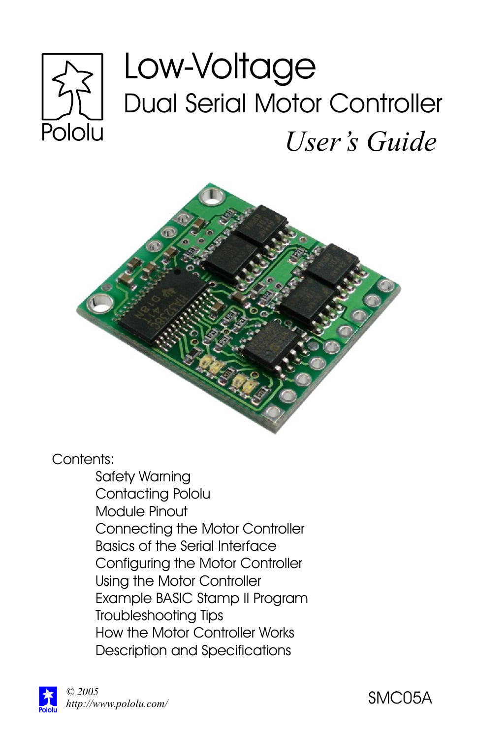# Low-Voltage Dual Serial Motor Controller Pololu *User's Guide*



Contents:

Safety Warning Contacting Pololu Module Pinout Connecting the Motor Controller Basics of the Serial Interface Configuring the Motor Controller Using the Motor Controller Example BASIC Stamp II Program Troubleshooting Tips How the Motor Controller Works Description and Specifications

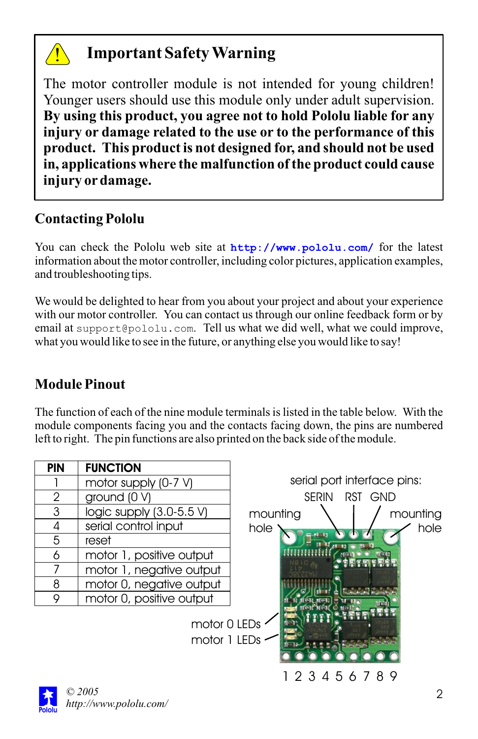

# **Important Safety Warning**

The motor controller module is not intended for young children! Younger users should use this module only under adult supervision. **By using this product, you agree not to hold Pololu liable for any injury or damage related to the use or to the performance of this product. This product is not designed for, and should not be used in, applications where the malfunction of the product could cause injury ordamage.**

# **Contacting Pololu**

You can check the Pololu web site at **http://www.pololu.com/** for the latest information about the motor controller, including color pictures, application examples, and troubleshooting tips.

We would be delighted to hear from you about your project and about your experience with our motor controller. You can contact us through our online feedback form or by email at support@pololu.com. Tell us what we did well, what we could improve, what you would like to see in the future, or anything else you would like to say!

# **Module Pinout**

The function of each of the nine module terminals is listed in the table below. With the module components facing you and the contacts facing down, the pins are numbered left to right. The pin functions are also printed on the back side of the module.

| <b>PIN</b>   | <b>FUNCTION</b>          |                             |
|--------------|--------------------------|-----------------------------|
|              | motor supply (0-7 V)     | serial port interface pins: |
| $\mathbf{2}$ | ground $(0 V)$           | <b>SFRIN</b><br>RST GND     |
| 3            | logic supply (3.0-5.5 V) | mounting<br>mounting        |
| 4            | serial control input     | hole<br>hole                |
| 5            | reset                    |                             |
| 6            | motor 1, positive output |                             |
|              | motor 1, negative output |                             |
| 8            | motor 0, negative output |                             |
| 9            | motor 0, positive output |                             |
|              | motor 1 LEDs             | motor 0 LEDs<br>123456789   |
| 2005         |                          |                             |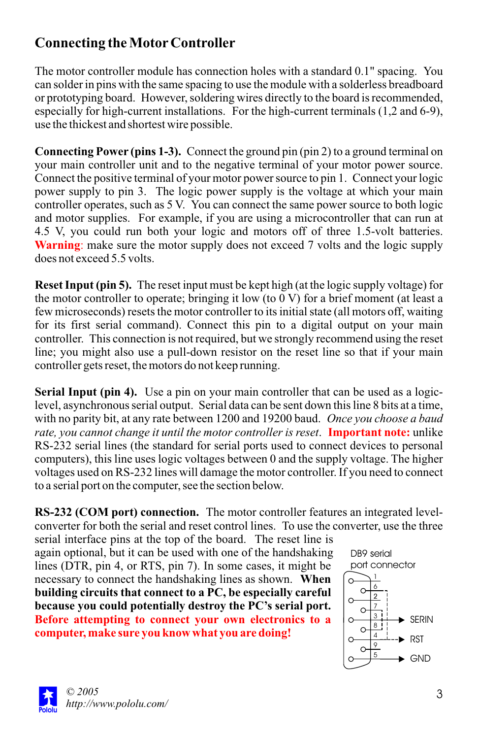# **Connecting the MotorController**

The motor controller module has connection holes with a standard 0.1" spacing. You can solder in pins with the same spacing to use the module with a solderless breadboard or prototyping board. However, soldering wires directly to the board is recommended, especially for high-current installations. For the high-current terminals (1,2 and 6-9), use the thickest and shortest wire possible.

**Connecting Power (pins 1-3).** Connect the ground pin (pin 2) to a ground terminal on your main controller unit and to the negative terminal of your motor power source. Connect the positive terminal of your motor power source to pin 1. Connect your logic power supply to pin 3. The logic power supply is the voltage at which your main controller operates, such as 5 V. You can connect the same power source to both logic and motor supplies. For example, if you are using a microcontroller that can run at 4.5 V, you could run both your logic and motors off of three 1.5-volt batteries. **Warning**: make sure the motor supply does not exceed 7 volts and the logic supply does not exceed 5.5 volts.

**Reset Input (pin 5).** The reset input must be kept high (at the logic supply voltage) for the motor controller to operate; bringing it low (to 0 V) for a brief moment (at least a few microseconds) resets the motor controller to its initial state (all motors off, waiting for its first serial command). Connect this pin to a digital output on your main controller. This connection is not required, but we strongly recommend using the reset line; you might also use a pull-down resistor on the reset line so that if your main controller gets reset, the motors do not keep running.

**Serial Input (pin 4).** Use a pin on your main controller that can be used as a logiclevel, asynchronous serial output. Serial data can be sent down this line 8 bits at a time, with no parity bit, at any rate between 1200 and 19200 baud. *Once you choose a baud*  rate, you cannot change it until the motor controller is reset. Important note: unlike RS-232 serial lines (the standard for serial ports used to connect devices to personal computers), this line uses logic voltages between 0 and the supply voltage. The higher voltages used on RS-232 lines will damage the motor controller. If you need to connect to a serial port on the computer, see the section below.

**RS-232 (COM port) connection.** The motor controller features an integrated levelconverter for both the serial and reset control lines. To use the converter, use the three

serial interface pins at the top of the board. The reset line is again optional, but it can be used with one of the handshaking lines (DTR, pin 4, or RTS, pin 7). In some cases, it might be necessary to connect the handshaking lines as shown. **When Before attempting to connect your own electronics to a computer, make sure you know what you are doing! building circuits that connect to a PC, be especially careful because you could potentially destroy the PC's serial port.**



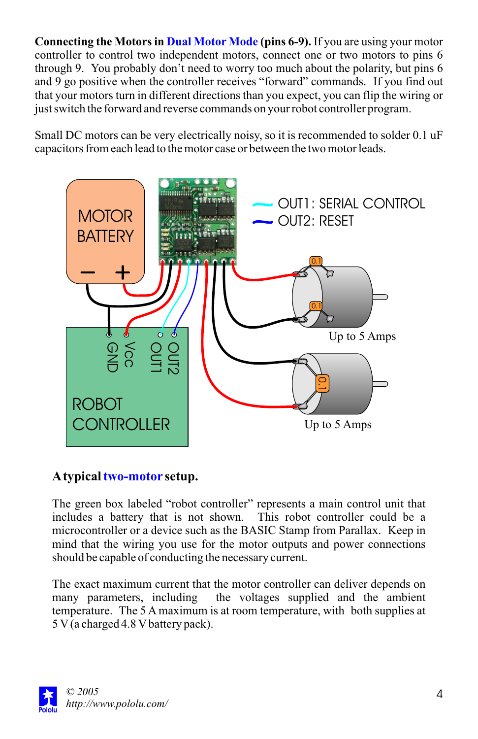**Connecting the Motors in Dual Motor Mode (pins 6-9).** If you are using your motor controller to control two independent motors, connect one or two motors to pins 6 through 9. You probably don't need to worry too much about the polarity, but pins 6 and 9 go positive when the controller receives "forward" commands. If you find out that your motors turn in different directions than you expect, you can flip the wiring or just switch the forward and reverse commands on your robot controller program.

Small DC motors can be very electrically noisy, so it is recommended to solder 0.1 uF capacitors from each lead to the motor case or between the two motor leads.



### A typical two-motor setup.

The green box labeled "robot controller" represents a main control unit that includes a battery that is not shown. This robot controller could be a microcontroller or a device such as the BASIC Stamp from Parallax. Keep in mind that the wiring you use for the motor outputs and power connections should be capable of conducting the necessary current.

The exact maximum current that the motor controller can deliver depends on many parameters, including the voltages supplied and the ambient temperature. The 5 A maximum is at room temperature, with both supplies at 5 V(a charged 4.8 Vbattery pack).

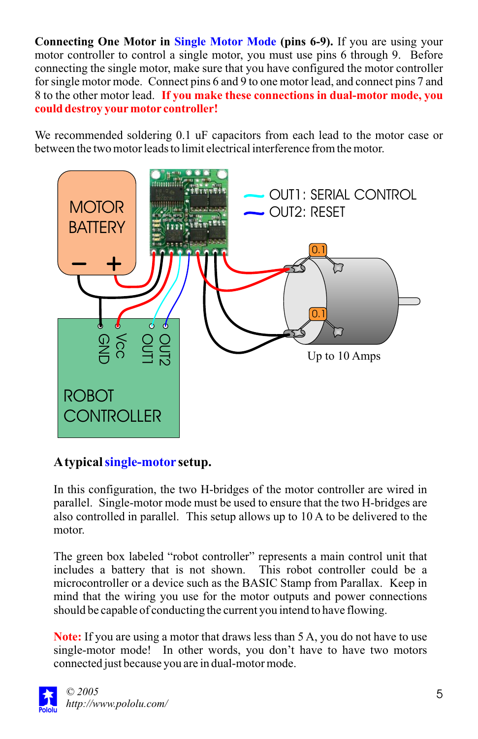**Connecting One Motor in Single Motor Mode (pins 6-9).** If you are using your motor controller to control a single motor, you must use pins 6 through 9. Before connecting the single motor, make sure that you have configured the motor controller for single motor mode. Connect pins 6 and 9 to one motor lead, and connect pins 7 and 8 to the other motor lead. **If you make these connections in dual-motor mode, you could destroy yourmotor controller!**

We recommended soldering 0.1 uF capacitors from each lead to the motor case or between the two motor leads to limit electrical interference from the motor.



#### A typical <mark>single-motor</mark> setup.

In this configuration, the two H-bridges of the motor controller are wired in parallel. Single-motor mode must be used to ensure that the two H-bridges are also controlled in parallel. This setup allows up to 10 A to be delivered to the motor.

The green box labeled "robot controller" represents a main control unit that includes a battery that is not shown. This robot controller could be a microcontroller or a device such as the BASIC Stamp from Parallax. Keep in mind that the wiring you use for the motor outputs and power connections should be capable of conducting the current you intend to have flowing.

**Note:** If you are using a motor that draws less than 5 A, you do not have to use single-motor mode! In other words, you don't have to have two motors connected just because you are in dual-motor mode.

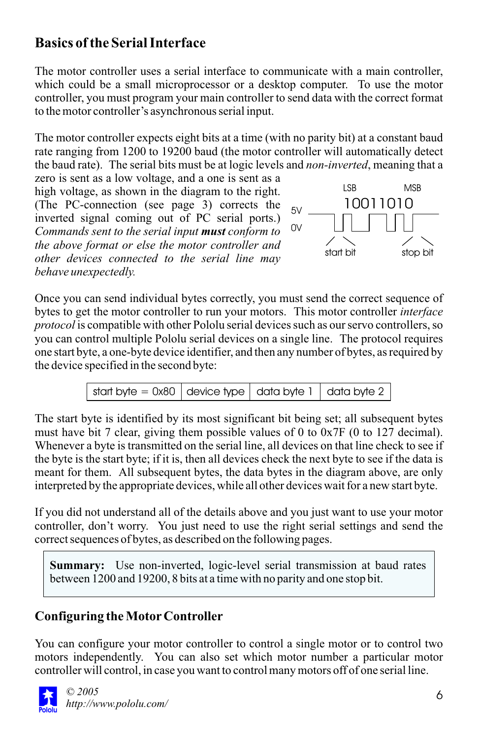# **Basics of the Serial Interface**

The motor controller uses a serial interface to communicate with a main controller, which could be a small microprocessor or a desktop computer. To use the motor controller, you must program your main controller to send data with the correct format to the motor controller's asynchronous serial input.

The motor controller expects eight bits at a time (with no parity bit) at a constant baud rate ranging from 1200 to 19200 baud (the motor controller will automatically detect the baud rate). The serial bits must be at logic levels and *non-inverted*, meaning that a

zero is sent as a low voltage, and a one is sent as a high voltage, as shown in the diagram to the right. (The PC-connection (see page 3) corrects the inverted signal coming out of PC serial ports.) *Commands sent to the serial input must conform to the above format or else the motor controller and other devices connected to the serial line may behave unexpectedly.*



Once you can send individual bytes correctly, you must send the correct sequence of bytes to get the motor controller to run your motors. This motor controller *interface protocol*is compatible with other Pololu serial devices such as our servo controllers, so you can control multiple Pololu serial devices on a single line. The protocol requires one start byte, a one-byte device identifier, and then any number of bytes, as required by the device specified in the second byte:



The start byte is identified by its most significant bit being set; all subsequent bytes must have bit 7 clear, giving them possible values of 0 to 0x7F (0 to 127 decimal). Whenever a byte is transmitted on the serial line, all devices on that line check to see if the byte is the start byte; if it is, then all devices check the next byte to see if the data is meant for them. All subsequent bytes, the data bytes in the diagram above, are only interpreted by the appropriate devices, while all other devices wait for a new start byte.

If you did not understand all of the details above and you just want to use your motor controller, don't worry. You just need to use the right serial settings and send the correct sequences of bytes, as described on the following pages.

**Summary:** Use non-inverted, logic-level serial transmission at baud rates between 1200 and 19200, 8 bits at a time with no parity and one stop bit.

### **Configuring the MotorController**

You can configure your motor controller to control a single motor or to control two motors independently. You can also set which motor number a particular motor controller will control, in case you want to control many motors off of one serial line.

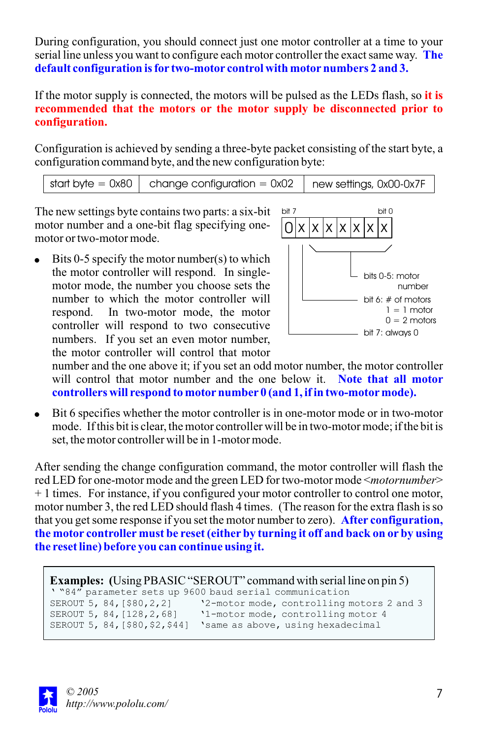During configuration, you should connect just one motor controller at a time to your serial line unless you want to configure each motor controller the exact same way. **The default configuration is for two-motor control with motornumbers 2 and 3.**

If the motor supply is connected, the motors will be pulsed as the LEDs flash, so **it is recommended that the motors or the motor supply be disconnected prior to configuration.**

Configuration is achieved by sending a three-byte packet consisting of the start byte, a configuration command byte, and the new configuration byte:

start byte =  $0x80$  change configuration =  $0x02$  new settings, 0x00-0x7F

The new settings byte contains two parts: a six-bit motor number and a one-bit flag specifying onemotor or two-motor mode.

 $\bullet$  Bits 0-5 specify the motor number(s) to which the motor controller will respond. In singlemotor mode, the number you choose sets the number to which the motor controller will respond. In two-motor mode, the motor controller will respond to two consecutive numbers. If you set an even motor number, the motor controller will control that motor



number and the one above it; if you set an odd motor number, the motor controller will control that motor number and the one below it. **Note that all motor controllers will respond to motornumber 0 (and 1, if in two-motormode).**

Bit 6 specifies whether the motor controller is in one-motor mode or in two-motor mode. If this bit is clear, the motor controller will be in two-motor mode; if the bit is set, the motor controller will be in 1-motor mode.

After sending the change configuration command, the motor controller will flash the red LED for one-motor mode and the green LED for two-motor mode <*motornumber*> + 1 times. For instance, if you configured your motor controller to control one motor, motor number 3, the red LED should flash 4 times. (The reason for the extra flash is so that you get some response if you set the motor number to zero). **After configuration, the motor controller must be reset (eitherby turning it off and back on orby using the reset line) before you can continue using it.**

```
Examples: (Using PBASIC "SEROUT" command with serial line on pin 5)
' "84" parameter sets up 9600 baud serial communication
                        '2-motor mode, controlling motors 2 and 3
SEROUT 5, 84, [128, 2, 68] '1-motor mode, controlling motor 4
SEROUT 5, 84,[$80,$2,$44] 'same as above, using hexadecimal
```
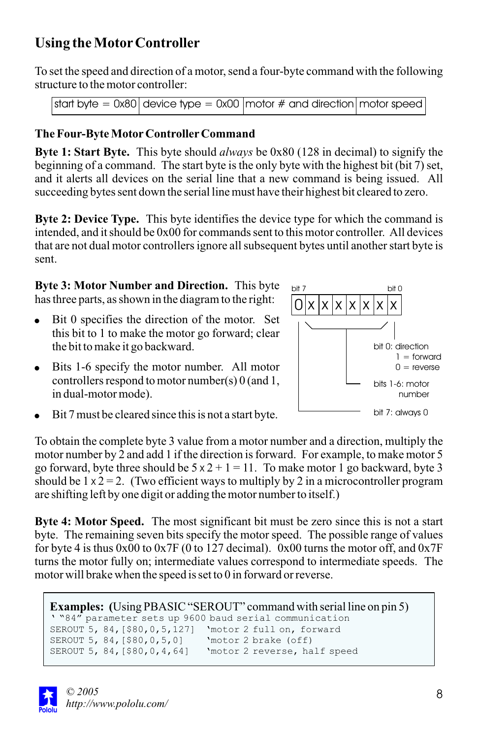# **Using the MotorController**

To set the speed and direction of a motor, send a four-byte command with the following structure to the motor controller:

```
start byte = 0x80 device type = 0x00 motor # and direction motor speed
```
#### **The Four-Byte MotorControllerCommand**

**Byte 1: Start Byte.** This byte should *always* be 0x80 (128 in decimal) to signify the beginning of a command. The start byte is the only byte with the highest bit (bit 7) set, and it alerts all devices on the serial line that a new command is being issued. All succeeding bytes sent down the serial line must have their highest bit cleared to zero.

**Byte 2: Device Type.** This byte identifies the device type for which the command is intended, and it should be 0x00 for commands sent to this motor controller. All devices that are not dual motor controllers ignore all subsequent bytes until another start byte is sent.

**Byte 3: Motor Number and Direction.** This byte has three parts, as shown in the diagram to the right:

- $\bullet$  Bit 0 specifies the direction of the motor. Set this bit to 1 to make the motor go forward; clear the bit to make it go backward.
- $\bullet$  Bits 1-6 specify the motor number. All motor controllers respond to motor number(s) 0 (and 1, in dual-motor mode).



Bit 7 must be cleared since this is not a start byte.

To obtain the complete byte 3 value from a motor number and a direction, multiply the motor number by 2 and add 1 if the direction is forward. For example, to make motor 5 go forward, byte three should be  $5 \times 2 + 1 = 11$ . To make motor 1 go backward, byte 3 should be  $1 \times 2 = 2$ . (Two efficient ways to multiply by 2 in a microcontroller program are shifting left by one digit or adding the motor number to itself.)

**Byte 4: Motor Speed.** The most significant bit must be zero since this is not a start byte. The remaining seven bits specify the motor speed. The possible range of values for byte 4 is thus  $0x00$  to  $0x7F$  (0 to 127 decimal). 0x00 turns the motor off, and  $0x7F$ turns the motor fully on; intermediate values correspond to intermediate speeds. The motor will brake when the speed is set to 0 in forward or reverse.

```
Examples: (Using PBASIC "SEROUT" command with serial line on pin 5)
' "84" parameter sets up 9600 baud serial communication
SEROUT 5, 84,[$80,0,5,127] 'motor 2 full on, forward
SEROUT 5, 84,[$80,0,5,0] 'motor 2 brake (off)
SEROUT 5, 84,[$80,0,4,64] 'motor 2 reverse, half speed
```
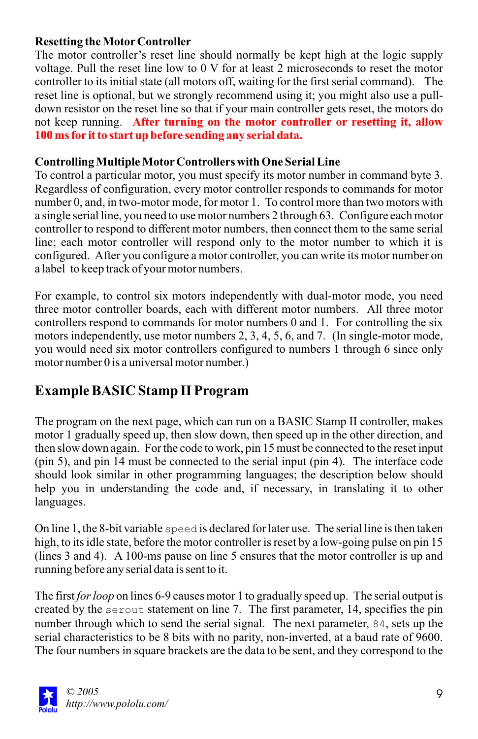#### **Resetting the MotorController**

The motor controller's reset line should normally be kept high at the logic supply voltage. Pull the reset line low to 0 V for at least 2 microseconds to reset the motor controller to its initial state (all motors off, waiting for the first serial command). The reset line is optional, but we strongly recommend using it; you might also use a pulldown resistor on the reset line so that if your main controller gets reset, the motors do not keep running. **After turning on the motor controller or resetting it, allow 100 ms for it to start up before sending any serial data.**

#### **Controlling Multiple MotorControllers with One Serial Line**

To control a particular motor, you must specify its motor number in command byte 3. Regardless of configuration, every motor controller responds to commands for motor number 0, and, in two-motor mode, for motor 1. To control more than two motors with a single serial line, you need to use motor numbers 2 through 63. Configure each motor controller to respond to different motor numbers, then connect them to the same serial line; each motor controller will respond only to the motor number to which it is configured. After you configure a motor controller, you can write its motor number on a label to keep track of your motor numbers.

For example, to control six motors independently with dual-motor mode, you need three motor controller boards, each with different motor numbers. All three motor controllers respond to commands for motor numbers 0 and 1. For controlling the six motors independently, use motor numbers 2, 3, 4, 5, 6, and 7. (In single-motor mode, you would need six motor controllers configured to numbers 1 through 6 since only motor number 0 is a universal motor number.)

### **Example BASIC Stamp II Program**

The program on the next page, which can run on a BASIC Stamp II controller, makes motor 1 gradually speed up, then slow down, then speed up in the other direction, and then slow down again. For the code to work, pin 15 must be connected to the reset input (pin 5), and pin 14 must be connected to the serial input (pin 4). The interface code should look similar in other programming languages; the description below should help you in understanding the code and, if necessary, in translating it to other languages.

On line 1, the 8-bit variable speed is declared for later use. The serial line is then taken high, to its idle state, before the motor controller is reset by a low-going pulse on pin 15 (lines 3 and 4). A 100-ms pause on line 5 ensures that the motor controller is up and running before any serial data is sent to it.

The first *for loop* on lines 6-9 causes motor 1 to gradually speed up. The serial output is created by the serout statement on line 7. The first parameter, 14, specifies the pin number through which to send the serial signal. The next parameter, 84, sets up the serial characteristics to be 8 bits with no parity, non-inverted, at a baud rate of 9600. The four numbers in square brackets are the data to be sent, and they correspond to the

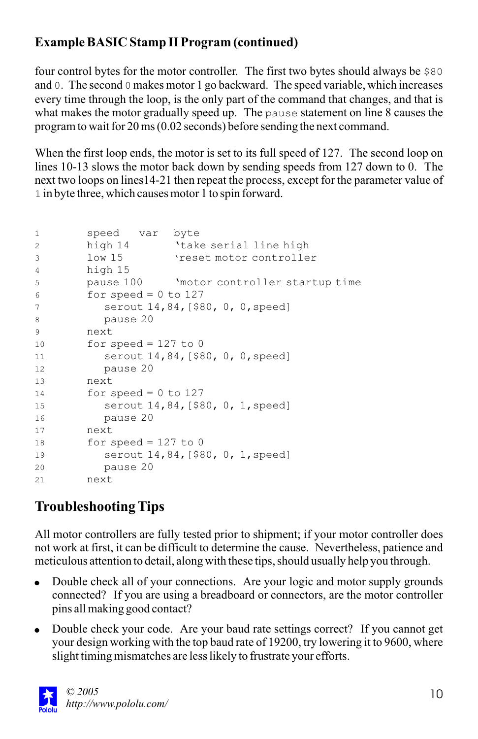### **Example BASIC Stamp II Program (continued)**

four control bytes for the motor controller. The first two bytes should always be \$80 and 0. The second 0 makes motor 1 go backward. The speed variable, which increases every time through the loop, is the only part of the command that changes, and that is what makes the motor gradually speed up. The pause statement on line 8 causes the program to wait for 20 ms (0.02 seconds) before sending the next command.

When the first loop ends, the motor is set to its full speed of 127. The second loop on lines 10-13 slows the motor back down by sending speeds from 127 down to 0. The next two loops on lines14-21 then repeat the process, except for the parameter value of 1 in byte three, which causes motor 1 to spin forward.

```
1 speed var byte
2 high 14 'take serial line high
3 low 15 'reset motor controller
4 high 15
5 pause 100 'motor controller startup time
6 for speed = 0 to 127
7 serout 14,84,[$80, 0, 0,speed]
8 pause 20
9 next
10 for speed = 127 to 0
11 serout 14,84,[$80, 0, 0,speed]
12 pause 20
13 next
14 for speed = 0 to 127
15 serout 14,84,[$80, 0, 1,speed]
16 pause 20
17 next
18 for speed = 127 to 0 
19 serout 14,84,[$80, 0, 1,speed]
20 pause 20
21 next
```
# **Troubleshooting Tips**

All motor controllers are fully tested prior to shipment; if your motor controller does not work at first, it can be difficult to determine the cause. Nevertheless, patience and meticulous attention to detail, along with these tips, should usually help you through.

- Double check all of your connections. Are your logic and motor supply grounds connected? If you are using a breadboard or connectors, are the motor controller pins all making good contact?
- Double check your code. Are your baud rate settings correct? If you cannot get your design working with the top baud rate of 19200, try lowering it to 9600, where slight timing mismatches are less likely to frustrate your efforts.

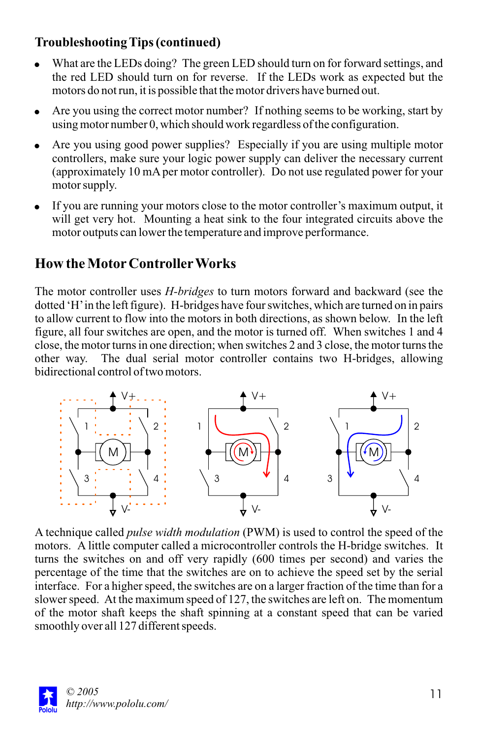### **Troubleshooting Tips (continued)**

- What are the LEDs doing? The green LED should turn on for forward settings, and the red LED should turn on for reverse. If the LEDs work as expected but the motors do not run, it is possible that the motor drivers have burned out.
- Are you using the correct motor number? If nothing seems to be working, start by using motor number 0, which should work regardless of the configuration.
- Are you using good power supplies? Especially if you are using multiple motor controllers, make sure your logic power supply can deliver the necessary current (approximately 10 mAper motor controller). Do not use regulated power for your motor supply.
- If you are running your motors close to the motor controller's maximum output, it will get very hot. Mounting a heat sink to the four integrated circuits above the motor outputs can lower the temperature and improve performance.

### **How the MotorControllerWorks**

The motor controller uses *H-bridges* to turn motors forward and backward (see the dotted 'H'in the left figure). H-bridges have four switches, which are turned on in pairs to allow current to flow into the motors in both directions, as shown below. In the left figure, all four switches are open, and the motor is turned off. When switches 1 and 4 close, the motor turns in one direction; when switches 2 and 3 close, the motor turns the other way. The dual serial motor controller contains two H-bridges, allowing bidirectional control of two motors.



A technique called *pulse width modulation* (PWM) is used to control the speed of the motors. A little computer called a microcontroller controls the H-bridge switches. It turns the switches on and off very rapidly (600 times per second) and varies the percentage of the time that the switches are on to achieve the speed set by the serial interface. For a higher speed, the switches are on a larger fraction of the time than for a slower speed. At the maximum speed of 127, the switches are left on. The momentum of the motor shaft keeps the shaft spinning at a constant speed that can be varied smoothly over all 127 different speeds.